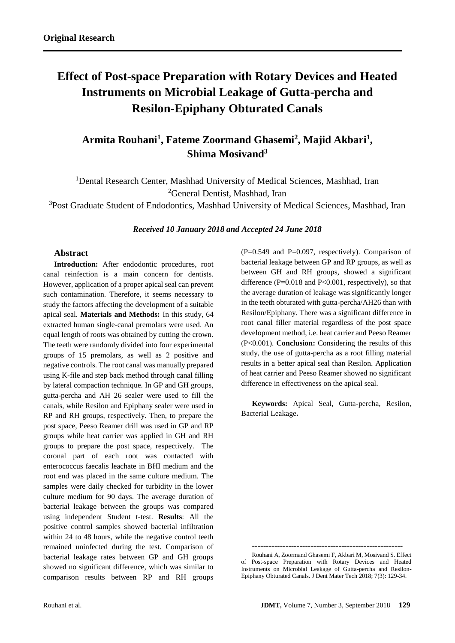# **Effect of Post-space Preparation with Rotary Devices and Heated Instruments on Microbial Leakage of Gutta-percha and Resilon-Epiphany Obturated Canals**

## **Armita Rouhani<sup>1</sup> , Fateme Zoormand Ghasemi<sup>2</sup> , Majid Akbari<sup>1</sup> , Shima Mosivand<sup>3</sup>**

<sup>1</sup>Dental Research Center, Mashhad University of Medical Sciences, Mashhad, Iran <sup>2</sup>General Dentist, Mashhad, Iran

<sup>3</sup>Post Graduate Student of Endodontics, Mashhad University of Medical Sciences, Mashhad, Iran

*Received 10 January 2018 and Accepted 24 June 2018*

## **Abstract**

**Introduction:** After endodontic procedures, root canal reinfection is a main concern for dentists. However, application of a proper apical seal can prevent such contamination. Therefore, it seems necessary to study the factors affecting the development of a suitable apical seal. **Materials and Methods:** In this study, 64 extracted human single-canal premolars were used. An equal length of roots was obtained by cutting the crown. The teeth were randomly divided into four experimental groups of 15 premolars, as well as 2 positive and negative controls. The root canal was manually prepared using K-file and step back method through canal filling by lateral compaction technique. In GP and GH groups, gutta-percha and AH 26 sealer were used to fill the canals, while Resilon and Epiphany sealer were used in RP and RH groups, respectively. Then, to prepare the post space, Peeso Reamer drill was used in GP and RP groups while heat carrier was applied in GH and RH groups to prepare the post space, respectively. The coronal part of each root was contacted with enterococcus faecalis leachate in BHI medium and the root end was placed in the same culture medium. The samples were daily checked for turbidity in the lower culture medium for 90 days. The average duration of bacterial leakage between the groups was compared using independent Student t-test. **Results**: All the positive control samples showed bacterial infiltration within 24 to 48 hours, while the negative control teeth remained uninfected during the test. Comparison of bacterial leakage rates between GP and GH groups showed no significant difference, which was similar to comparison results between RP and RH groups

 $(P=0.549$  and  $P=0.097$ , respectively). Comparison of bacterial leakage between GP and RP groups, as well as between GH and RH groups, showed a significant difference  $(P=0.018$  and  $P<0.001$ , respectively), so that the average duration of leakage was significantly longer in the teeth obturated with gutta-percha/AH26 than with Resilon/Epiphany. There was a significant difference in root canal filler material regardless of the post space development method, i.e. heat carrier and Peeso Reamer (P<0.001). **Conclusion:** Considering the results of this study, the use of gutta-percha as a root filling material results in a better apical seal than Resilon. Application of heat carrier and Peeso Reamer showed no significant difference in effectiveness on the apical seal.

**Keywords:** Apical Seal, Gutta-percha, Resilon, Bacterial Leakage**.**

**------------------------------------------------------**

Rouhani A, Zoormand Ghasemi F, Akbari M, Mosivand S. Effect of Post-space Preparation with Rotary Devices and Heated Instruments on Microbial Leakage of Gutta-percha and Resilon-Epiphany Obturated Canals. J Dent Mater Tech 2018; 7(3): 129-34.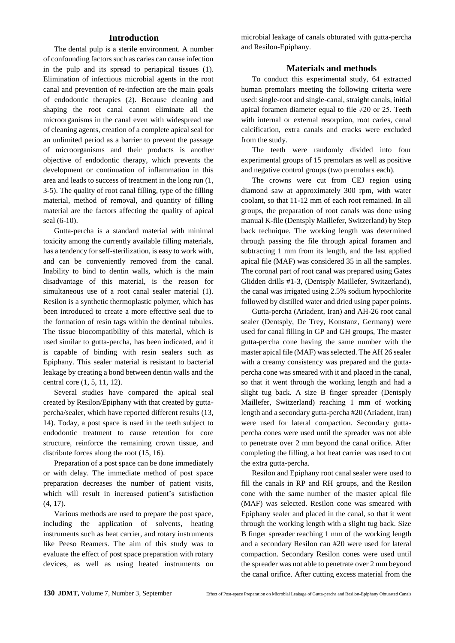### **Introduction**

The dental pulp is a sterile environment. A number of confounding factors such as caries can cause infection in the pulp and its spread to periapical tissues (1). Elimination of infectious microbial agents in the root canal and prevention of re-infection are the main goals of endodontic therapies (2). Because cleaning and shaping the root canal cannot eliminate all the microorganisms in the canal even with widespread use of cleaning agents, creation of a complete apical seal for an unlimited period as a barrier to prevent the passage of microorganisms and their products is another objective of endodontic therapy, which prevents the development or continuation of inflammation in this area and leads to success of treatment in the long run (1, 3-5). The quality of root canal filling, type of the filling material, method of removal, and quantity of filling material are the factors affecting the quality of apical seal (6-10).

Gutta-percha is a standard material with minimal toxicity among the currently available filling materials, has a tendency for self-sterilization, is easy to work with, and can be conveniently removed from the canal. Inability to bind to dentin walls, which is the main disadvantage of this material, is the reason for simultaneous use of a root canal sealer material (1). Resilon is a synthetic thermoplastic polymer, which has been introduced to create a more effective seal due to the formation of resin tags within the dentinal tubules. The tissue biocompatibility of this material, which is used similar to gutta-percha, has been indicated, and it is capable of binding with resin sealers such as Epiphany. This sealer material is resistant to bacterial leakage by creating a bond between dentin walls and the central core (1, 5, 11, 12).

Several studies have compared the apical seal created by Resilon/Epiphany with that created by guttapercha/sealer, which have reported different results (13, 14). Today, a post space is used in the teeth subject to endodontic treatment to cause retention for core structure, reinforce the remaining crown tissue, and distribute forces along the root (15, 16).

Preparation of a post space can be done immediately or with delay. The immediate method of post space preparation decreases the number of patient visits, which will result in increased patient's satisfaction (4, 17).

Various methods are used to prepare the post space, including the application of solvents, heating instruments such as heat carrier, and rotary instruments like Peeso Reamers. The aim of this study was to evaluate the effect of post space preparation with rotary devices, as well as using heated instruments on microbial leakage of canals obturated with gutta-percha and Resilon-Epiphany.

#### **Materials and methods**

To conduct this experimental study, 64 extracted human premolars meeting the following criteria were used: single-root and single-canal, straight canals, initial apical foramen diameter equal to file  $\neq 20$  or 25. Teeth with internal or external resorption, root caries, canal calcification, extra canals and cracks were excluded from the study.

The teeth were randomly divided into four experimental groups of 15 premolars as well as positive and negative control groups (two premolars each).

The crowns were cut from CEJ region using diamond saw at approximately 300 rpm, with water coolant, so that 11-12 mm of each root remained. In all groups, the preparation of root canals was done using manual K-file (Dentsply Maillefer, Switzerland) by Step back technique. The working length was determined through passing the file through apical foramen and subtracting 1 mm from its length, and the last applied apical file (MAF) was considered 35 in all the samples. The coronal part of root canal was prepared using Gates Glidden drills #1-3, (Dentsply Maillefer, Switzerland), the canal was irrigated using 2.5% sodium hypochlorite followed by distilled water and dried using paper points.

Gutta-percha (Ariadent, Iran) and AH-26 root canal sealer (Dentsply, De Trey, Konstanz, Germany) were used for canal filling in GP and GH groups, The master gutta-percha cone having the same number with the master apical file (MAF) was selected. The AH 26 sealer with a creamy consistency was prepared and the guttapercha cone was smeared with it and placed in the canal, so that it went through the working length and had a slight tug back. A size B finger spreader (Dentsply Maillefer, Switzerland) reaching 1 mm of working length and a secondary gutta-percha #20 (Ariadent, Iran) were used for lateral compaction. Secondary guttapercha cones were used until the spreader was not able to penetrate over 2 mm beyond the canal orifice. After completing the filling, a hot heat carrier was used to cut the extra gutta-percha.

Resilon and Epiphany root canal sealer were used to fill the canals in RP and RH groups, and the Resilon cone with the same number of the master apical file (MAF) was selected. Resilon cone was smeared with Epiphany sealer and placed in the canal, so that it went through the working length with a slight tug back. Size B finger spreader reaching 1 mm of the working length and a secondary Resilon can #20 were used for lateral compaction. Secondary Resilon cones were used until the spreader was not able to penetrate over 2 mm beyond the canal orifice. After cutting excess material from the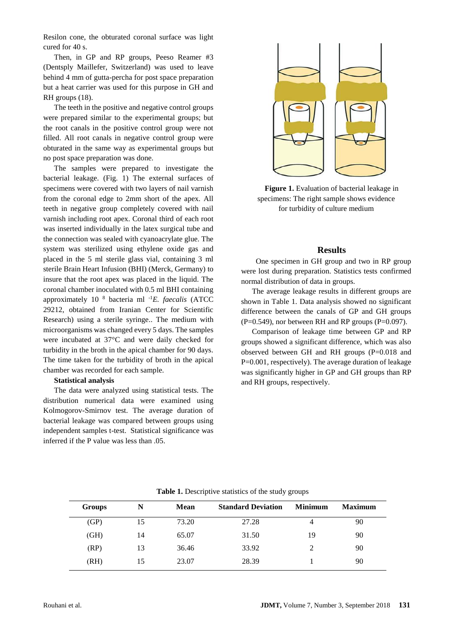Resilon cone, the obturated coronal surface was light cured for 40 s.

Then, in GP and RP groups, Peeso Reamer #3 (Dentsply Maillefer, Switzerland) was used to leave behind 4 mm of gutta-percha for post space preparation but a heat carrier was used for this purpose in GH and RH groups (18).

The teeth in the positive and negative control groups were prepared similar to the experimental groups; but the root canals in the positive control group were not filled. All root canals in negative control group were obturated in the same way as experimental groups but no post space preparation was done.

The samples were prepared to investigate the bacterial leakage. (Fig. 1) The external surfaces of specimens were covered with two layers of nail varnish from the coronal edge to 2mm short of the apex. All teeth in negative group completely covered with nail varnish including root apex. Coronal third of each root was inserted individually in the latex surgical tube and the connection was sealed with cyanoacrylate glue. The system was sterilized using ethylene oxide gas and placed in the 5 ml sterile glass vial, containing 3 ml sterile Brain Heart Infusion (BHI) (Merck, Germany) to insure that the root apex was placed in the liquid. The coronal chamber inoculated with 0.5 ml BHI containing approximately 10 <sup>8</sup> bacteria ml -1*E. faecalis* (ATCC 29212, obtained from Iranian Center for Scientific Research) using a sterile syringe.. The medium with microorganisms was changed every 5 days. The samples were incubated at 37°C and were daily checked for turbidity in the broth in the apical chamber for 90 days. The time taken for the turbidity of broth in the apical chamber was recorded for each sample.

#### **Statistical analysis**

The data were analyzed using statistical tests. The distribution numerical data were examined using Kolmogorov-Smirnov test. The average duration of bacterial leakage was compared between groups using independent samples t-test. Statistical significance was inferred if the P value was less than .05.



**Figure 1.** Evaluation of bacterial leakage in specimens: The right sample shows evidence for turbidity of culture medium

#### **Results**

 One specimen in GH group and two in RP group were lost during preparation. Statistics tests confirmed normal distribution of data in groups.

The average leakage results in different groups are shown in Table 1. Data analysis showed no significant difference between the canals of GP and GH groups  $(P=0.549)$ , nor between RH and RP groups  $(P=0.097)$ .

Comparison of leakage time between GP and RP groups showed a significant difference, which was also observed between GH and RH groups (P=0.018 and P=0.001, respectively). The average duration of leakage was significantly higher in GP and GH groups than RP and RH groups, respectively.

| Groups | N  | <b>Mean</b> | <b>Standard Deviation</b> | <b>Minimum</b> | <b>Maximum</b> |
|--------|----|-------------|---------------------------|----------------|----------------|
| (GP)   | 15 | 73.20       | 27.28                     | 4              | 90             |
| (GH)   | 14 | 65.07       | 31.50                     | 19             | 90             |
| (RP)   | 13 | 36.46       | 33.92                     | 2              | 90             |
| (RH)   | 15 | 23.07       | 28.39                     |                | 90             |

**Table 1.** Descriptive statistics of the study groups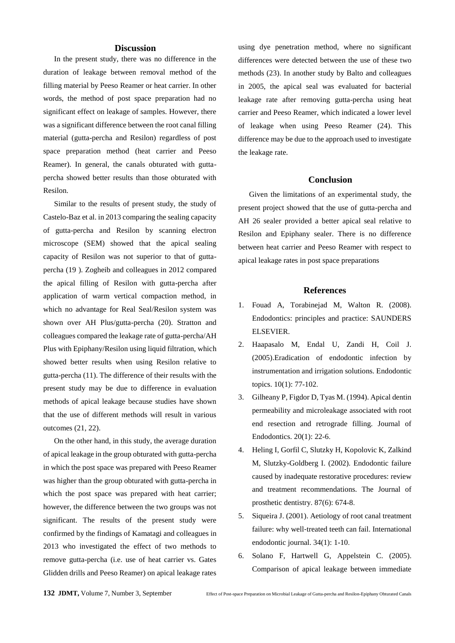#### **Discussion**

In the present study, there was no difference in the duration of leakage between removal method of the filling material by Peeso Reamer or heat carrier. In other words, the method of post space preparation had no significant effect on leakage of samples. However, there was a significant difference between the root canal filling material (gutta-percha and Resilon) regardless of post space preparation method (heat carrier and Peeso Reamer). In general, the canals obturated with guttapercha showed better results than those obturated with Resilon.

Similar to the results of present study, the study of Castelo-Baz et al. in 2013 comparing the sealing capacity of gutta-percha and Resilon by scanning electron microscope (SEM) showed that the apical sealing capacity of Resilon was not superior to that of guttapercha [\(19](https://translate.googleusercontent.com/translate_f#_ENREF_19) ). Zogheib and colleagues in 2012 compared the apical filling of Resilon with gutta-percha after application of warm vertical compaction method, in which no advantage for Real Seal/Resilon system was shown over AH Plus/gutta-percha [\(20\)](https://translate.googleusercontent.com/translate_f#_ENREF_20). Stratton and colleagues compared the leakage rate of gutta-percha/AH Plus with Epiphany/Resilon using liquid filtration, which showed better results when using Resilon relative to gutta-percha [\(11\)](https://translate.googleusercontent.com/translate_f#_ENREF_11). The difference of their results with the present study may be due to difference in evaluation methods of apical leakage because studies have shown that the use of different methods will result in various outcomes [\(21,](https://translate.googleusercontent.com/translate_f#_ENREF_21) [22\)](https://translate.googleusercontent.com/translate_f#_ENREF_22).

On the other hand, in this study, the average duration of apical leakage in the group obturated with gutta-percha in which the post space was prepared with Peeso Reamer was higher than the group obturated with gutta-percha in which the post space was prepared with heat carrier; however, the difference between the two groups was not significant. The results of the present study were confirmed by the findings of Kamatagi and colleagues in 2013 who investigated the effect of two methods to remove gutta-percha (i.e. use of heat carrier vs. Gates Glidden drills and Peeso Reamer) on apical leakage rates

using dye penetration method, where no significant differences were detected between the use of these two methods [\(23\)](https://translate.googleusercontent.com/translate_f#_ENREF_23). In another study by Balto and colleagues in 2005, the apical seal was evaluated for bacterial leakage rate after removing gutta-percha using heat carrier and Peeso Reamer, which indicated a lower level of leakage when using Peeso Reamer (24). This difference may be due to the approach used to investigate the leakage rate.

## **Conclusion**

Given the limitations of an experimental study, the present project showed that the use of gutta-percha and AH 26 sealer provided a better apical seal relative to Resilon and Epiphany sealer. There is no difference between heat carrier and Peeso Reamer with respect to apical leakage rates in post space preparations

#### **References**

- 1. Fouad A, Torabinejad M, Walton R. (2008). Endodontics: principles and practice: SAUNDERS ELSEVIER.
- 2. Haapasalo M, Endal U, Zandi H, Coil J. (2005).Eradication of endodontic infection by instrumentation and irrigation solutions. Endodontic topics. 10(1): 77-102.
- 3. Gilheany P, Figdor D, Tyas M. (1994). Apical dentin permeability and microleakage associated with root end resection and retrograde filling. Journal of Endodontics. 20(1): 22-6.
- 4. Heling I, Gorfil C, Slutzky H, Kopolovic K, Zalkind M, Slutzky-Goldberg I. (2002). Endodontic failure caused by inadequate restorative procedures: review and treatment recommendations. The Journal of prosthetic dentistry. 87(6): 674-8.
- 5. Siqueira J. (2001). Aetiology of root canal treatment failure: why well-treated teeth can fail. International endodontic journal. 34(1): 1-10.
- 6. Solano F, Hartwell G, Appelstein C. (2005). Comparison of apical leakage between immediate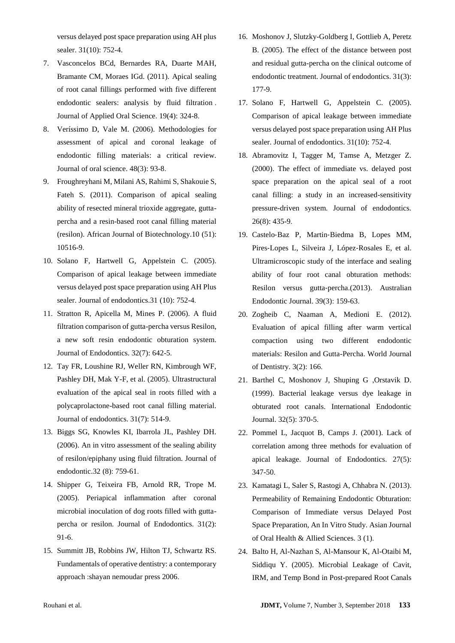versus delayed post space preparation using AH plus sealer. 31(10): 752-4.

- 7. Vasconcelos BCd, Bernardes RA, Duarte MAH, Bramante CM, Moraes IGd. (2011). Apical sealing of root canal fillings performed with five different endodontic sealers: analysis by fluid filtration . Journal of Applied Oral Science. 19(4): 324-8.
- 8. Veríssimo D, Vale M. (2006). Methodologies for assessment of apical and coronal leakage of endodontic filling materials: a critical review. Journal of oral science. 48(3): 93-8.
- 9. Froughreyhani M, Milani AS, Rahimi S, Shakouie S, Fateh S. (2011). Comparison of apical sealing ability of resected mineral trioxide aggregate, guttapercha and a resin-based root canal filling material (resilon). African Journal of Biotechnology.10 (51): 10516-9.
- 10. Solano F, Hartwell G, Appelstein C. (2005). Comparison of apical leakage between immediate versus delayed post space preparation using AH Plus sealer. Journal of endodontics.31 (10): 752-4.
- 11. Stratton R, Apicella M, Mines P. (2006). A fluid filtration comparison of gutta-percha versus Resilon, a new soft resin endodontic obturation system. Journal of Endodontics. 32(7): 642-5.
- 12. Tay FR, Loushine RJ, Weller RN, Kimbrough WF, Pashley DH, Mak Y-F, et al. (2005). Ultrastructural evaluation of the apical seal in roots filled with a polycaprolactone-based root canal filling material. Journal of endodontics. 31(7): 514-9.
- 13. Biggs SG, Knowles KI, Ibarrola JL, Pashley DH. (2006). An in vitro assessment of the sealing ability of resilon/epiphany using fluid filtration. Journal of endodontic.32 (8): 759-61.
- 14. Shipper G, Teixeira FB, Arnold RR, Trope M. (2005). Periapical inflammation after coronal microbial inoculation of dog roots filled with guttapercha or resilon. Journal of Endodontics. 31(2): 91-6.
- 15. Summitt JB, Robbins JW, Hilton TJ, Schwartz RS. Fundamentals of operative dentistry: a contemporary approach :shayan nemoudar press 2006.
- 16. Moshonov J, Slutzky-Goldberg I, Gottlieb A, Peretz B. (2005). The effect of the distance between post and residual gutta-percha on the clinical outcome of endodontic treatment. Journal of endodontics. 31(3): 177-9.
- 17. Solano F, Hartwell G, Appelstein C. (2005). Comparison of apical leakage between immediate versus delayed post space preparation using AH Plus sealer. Journal of endodontics. 31(10): 752-4.
- 18. Abramovitz I, Tagger M, Tamse A, Metzger Z. (2000). The effect of immediate vs. delayed post space preparation on the apical seal of a root canal filling: a study in an increased-sensitivity pressure-driven system. Journal of endodontics. 26(8): 435-9.
- 19. Castelo‐Baz P, Martin‐Biedma B, Lopes MM, Pires‐Lopes L, Silveira J, López‐Rosales E, et al. Ultramicroscopic study of the interface and sealing ability of four root canal obturation methods: Resilon versus gutta‐percha.(2013). Australian Endodontic Journal. 39(3): 159-63.
- 20. Zogheib C, Naaman A, Medioni E. (2012). Evaluation of apical filling after warm vertical compaction using two different endodontic materials: Resilon and Gutta-Percha. World Journal of Dentistry. 3(2): 166.
- 21. Barthel C, Moshonov J, Shuping G ,Orstavik D. (1999). Bacterial leakage versus dye leakage in obturated root canals. International Endodontic Journal. 32(5): 370-5.
- 22. Pommel L, Jacquot B, Camps J. (2001). Lack of correlation among three methods for evaluation of apical leakage. Journal of Endodontics. 27(5): 347-50.
- 23. Kamatagi L, Saler S, Rastogi A, Chhabra N. (2013). Permeability of Remaining Endodontic Obturation: Comparison of Immediate versus Delayed Post Space Preparation, An In Vitro Study. Asian Journal of Oral Health & Allied Sciences. 3 (1).
- 24. Balto H, Al-Nazhan S, Al-Mansour K, Al-Otaibi M, Siddiqu Y. (2005). Microbial Leakage of Cavit, IRM, and Temp Bond in Post-prepared Root Canals